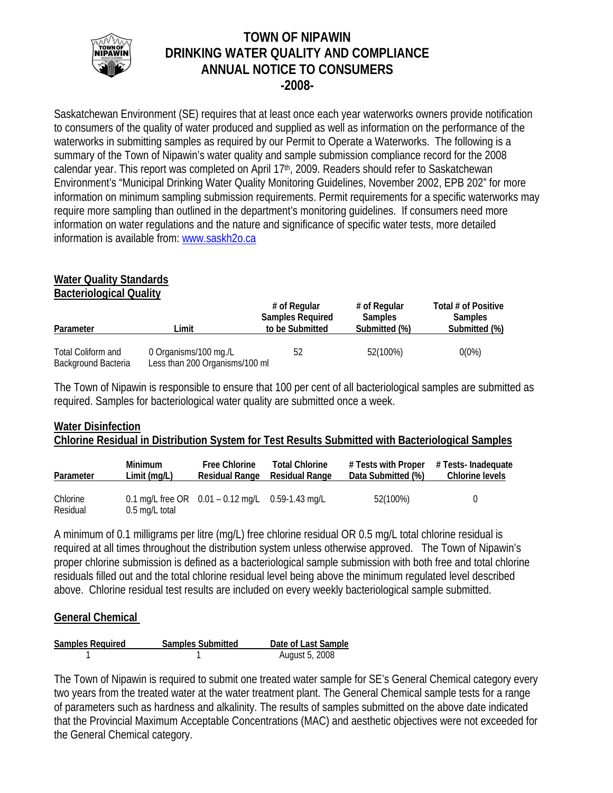

# **TOWN OF NIPAWIN DRINKING WATER QUALITY AND COMPLIANCE ANNUAL NOTICE TO CONSUMERS -2008-**

Saskatchewan Environment (SE) requires that at least once each year waterworks owners provide notification to consumers of the quality of water produced and supplied as well as information on the performance of the waterworks in submitting samples as required by our Permit to Operate a Waterworks. The following is a summary of the Town of Nipawin's water quality and sample submission compliance record for the 2008 calendar year. This report was completed on April 17<sup>th</sup>, 2009. Readers should refer to Saskatchewan Environment's "Municipal Drinking Water Quality Monitoring Guidelines, November 2002, EPB 202" for more information on minimum sampling submission requirements. Permit requirements for a specific waterworks may require more sampling than outlined in the department's monitoring guidelines. If consumers need more information on water regulations and the nature and significance of specific water tests, more detailed information is available from: www.saskh2o.ca

#### **Water Quality Standards Bacteriological Quality**

| Limit<br>Parameter                        |                                                         | # of Regular<br><b>Samples Required</b><br>to be Submitted | # of Regular<br><b>Samples</b><br>Submitted (%) | Total # of Positive<br><b>Samples</b><br>Submitted (%) |
|-------------------------------------------|---------------------------------------------------------|------------------------------------------------------------|-------------------------------------------------|--------------------------------------------------------|
| Total Coliform and<br>Background Bacteria | 0 Organisms/100 mg./L<br>Less than 200 Organisms/100 ml | 52                                                         | 52(100%)                                        | $0(0\%)$                                               |

The Town of Nipawin is responsible to ensure that 100 per cent of all bacteriological samples are submitted as required. Samples for bacteriological water quality are submitted once a week.

# **Water Disinfection Chlorine Residual in Distribution System for Test Results Submitted with Bacteriological Samples**

| Parameter            | <b>Minimum</b> | <b>Free Chlorine</b>                                   | <b>Total Chlorine</b> | # Tests with Proper | # Tests- Inadequate |
|----------------------|----------------|--------------------------------------------------------|-----------------------|---------------------|---------------------|
|                      | Limit (mg/L)   | <b>Residual Range</b>                                  | <b>Residual Range</b> | Data Submitted (%)  | Chlorine levels     |
| Chlorine<br>Residual | 0.5 mg/L total | 0.1 mg/L free OR $0.01 - 0.12$ mg/L $0.59 - 1.43$ mg/L |                       | 52(100%)            |                     |

A minimum of 0.1 milligrams per litre (mg/L) free chlorine residual OR 0.5 mg/L total chlorine residual is required at all times throughout the distribution system unless otherwise approved. The Town of Nipawin's proper chlorine submission is defined as a bacteriological sample submission with both free and total chlorine residuals filled out and the total chlorine residual level being above the minimum regulated level described above. Chlorine residual test results are included on every weekly bacteriological sample submitted.

## **General Chemical**

| <b>Samples Required</b> | <b>Samples Submitted</b> | Date of Last Sample |
|-------------------------|--------------------------|---------------------|
|                         |                          | August 5, 2008      |

The Town of Nipawin is required to submit one treated water sample for SE's General Chemical category every two years from the treated water at the water treatment plant. The General Chemical sample tests for a range of parameters such as hardness and alkalinity. The results of samples submitted on the above date indicated that the Provincial Maximum Acceptable Concentrations (MAC) and aesthetic objectives were not exceeded for the General Chemical category.